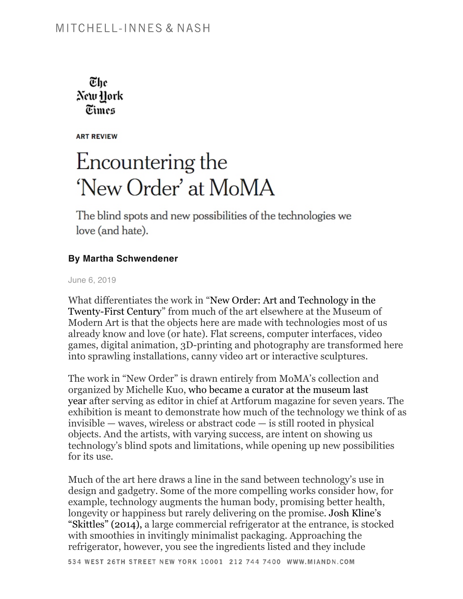## MITCHELL-INNES & NASH

Ehe New Hork Eimes

**ART REVIEW** 

## Encountering the 'New Order' at MoMA

The blind spots and new possibilities of the technologies we love (and hate).

## **By Martha Schwendener**

June 6, 2019

What differentiates the work in "New Order: Art and Technology in the Twenty-First Century" from much of the art elsewhere at the Museum of Modern Art is that the objects here are made with technologies most of us already know and love (or hate). Flat screens, computer interfaces, video games, digital animation, 3D-printing and photography are transformed here into sprawling installations, canny video art or interactive sculptures.

The work in "New Order" is drawn entirely from MoMA's collection and organized by Michelle Kuo, who became a curator at the museum last year after serving as editor in chief at Artforum magazine for seven years. The exhibition is meant to demonstrate how much of the technology we think of as invisible — waves, wireless or abstract code — is still rooted in physical objects. And the artists, with varying success, are intent on showing us technology's blind spots and limitations, while opening up new possibilities for its use.

Much of the art here draws a line in the sand between technology's use in design and gadgetry. Some of the more compelling works consider how, for example, technology augments the human body, promising better health, longevity or happiness but rarely delivering on the promise. Josh Kline's "Skittles" (2014), a large commercial refrigerator at the entrance, is stocked with smoothies in invitingly minimalist packaging. Approaching the refrigerator, however, you see the ingredients listed and they include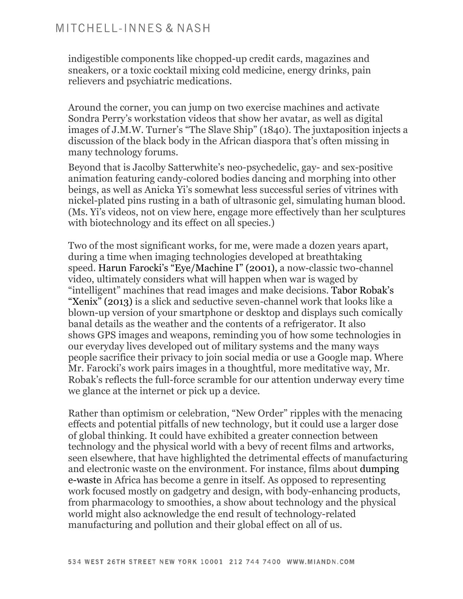indigestible components like chopped-up credit cards, magazines and sneakers, or a toxic cocktail mixing cold medicine, energy drinks, pain relievers and psychiatric medications.

Around the corner, you can jump on two exercise machines and activate Sondra Perry's workstation videos that show her avatar, as well as digital images of J.M.W. Turner's "The Slave Ship" (1840). The juxtaposition injects a discussion of the black body in the African diaspora that's often missing in many technology forums.

Beyond that is Jacolby Satterwhite's neo-psychedelic, gay- and sex-positive animation featuring candy-colored bodies dancing and morphing into other beings, as well as Anicka Yi's somewhat less successful series of vitrines with nickel-plated pins rusting in a bath of ultrasonic gel, simulating human blood. (Ms. Yi's videos, not on view here, engage more effectively than her sculptures with biotechnology and its effect on all species.)

Two of the most significant works, for me, were made a dozen years apart, during a time when imaging technologies developed at breathtaking speed. Harun Farocki's "Eye/Machine I" (2001), a now-classic two-channel video, ultimately considers what will happen when war is waged by "intelligent" machines that read images and make decisions. Tabor Robak's "Xenix" (2013) is a slick and seductive seven-channel work that looks like a blown-up version of your smartphone or desktop and displays such comically banal details as the weather and the contents of a refrigerator. It also shows GPS images and weapons, reminding you of how some technologies in our everyday lives developed out of military systems and the many ways people sacrifice their privacy to join social media or use a Google map. Where Mr. Farocki's work pairs images in a thoughtful, more meditative way, Mr. Robak's reflects the full-force scramble for our attention underway every time we glance at the internet or pick up a device.

Rather than optimism or celebration, "New Order" ripples with the menacing effects and potential pitfalls of new technology, but it could use a larger dose of global thinking. It could have exhibited a greater connection between technology and the physical world with a bevy of recent films and artworks, seen elsewhere, that have highlighted the detrimental effects of manufacturing and electronic waste on the environment. For instance, films about dumping e-waste in Africa has become a genre in itself. As opposed to representing work focused mostly on gadgetry and design, with body-enhancing products, from pharmacology to smoothies, a show about technology and the physical world might also acknowledge the end result of technology-related manufacturing and pollution and their global effect on all of us.